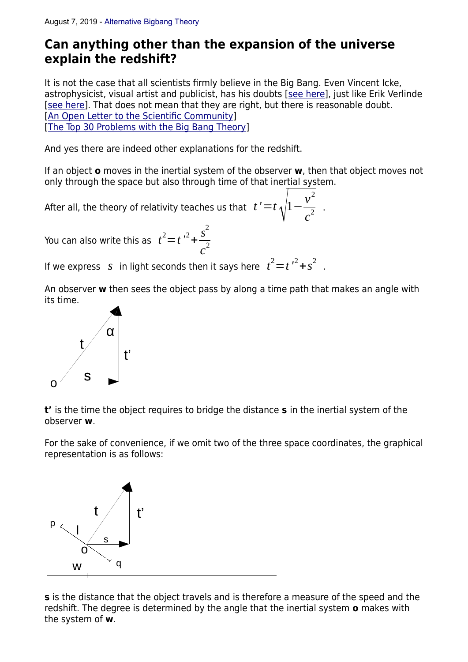## **Can anything other than the expansion of the universe explain the redshift?**

It is not the case that all scientists firmly believe in the Big Bang. Even Vincent Icke, astrophysicist, visual artist and publicist, has his doubts [[see here](https://www.nemokennislink.nl/publicaties/het-heelal-is-zoek-of-we-begrijpen-het-niet/)], just like Erik Verlinde [\[see here\]](https://en.wikipedia.org/wiki/Erik_Verlinde). That does not mean that they are right, but there is reasonable doubt. [\[An Open Letter to the Scientific Community\]](https://www.plasma-universe.com/an-open-letter-to-the-scientific-community/) [\[The Top 30 Problems with the Big Bang Theory](https://www.spaceandmotion.com/cosmology/top-30-problems-big-bang-theory.htm)]

And yes there are indeed other explanations for the redshift.

If an object **o** moves in the inertial system of the observer **w**, then that object moves not only through the space but also through time of that inertial system.

After all, the theory of relativity teaches us that  $\;t\,'\!=\!t\,\sqrt{1-\varepsilon}\;\!$  $v^2$  $\frac{1}{c^2}$ .

You can also write this as  $t^2 = t^2 + t^2 +$ *s* 2  $c^2$ 

If we express S in light seconds then it says here  $t^2 = t^2 + s^2$ .

An observer **w** then sees the object pass by along a time path that makes an angle with its time.



**t'** is the time the object requires to bridge the distance **s** in the inertial system of the observer **w**.

For the sake of convenience, if we omit two of the three space coordinates, the graphical representation is as follows:



**s** is the distance that the object travels and is therefore a measure of the speed and the redshift. The degree is determined by the angle that the inertial system **o** makes with the system of **w**.